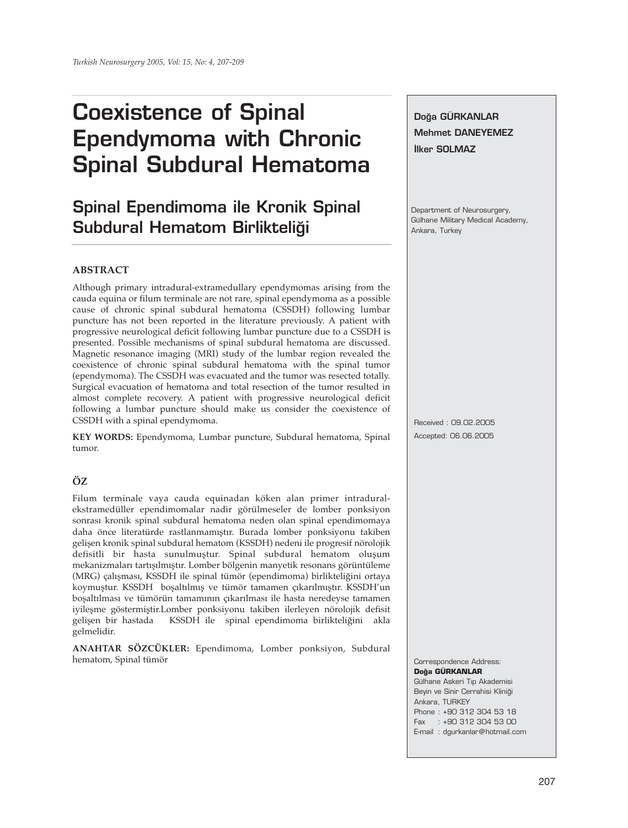# **Coexistence of Spinal Ependymoma with Chronic Spinal Subdural Hematoma**

# **Spinal Ependimoma ile Kronik Spinal Subdural Hematom Birlikteliği**

### **ABSTRACT**

Although primary intradural-extramedullary ependymomas arising from the cauda equina or filum terminale are not rare, spinal ependymoma as a possible cause of chronic spinal subdural hematoma (CSSDH) following lumbar puncture has not been reported in the literature previously. A patient with progressive neurological deficit following lumbar puncture due to a CSSDH is presented. Possible mechanisms of spinal subdural hematoma are discussed. Magnetic resonance imaging (MRI) study of the lumbar region revealed the coexistence of chronic spinal subdural hematoma with the spinal tumor (ependymoma). The CSSDH was evacuated and the tumor was resected totally. Surgical evacuation of hematoma and total resection of the tumor resulted in almost complete recovery. A patient with progressive neurological deficit following a lumbar puncture should make us consider the coexistence of CSSDH with a spinal ependymoma.

**KEY WORDS:** Ependymoma, Lumbar puncture, Subdural hematoma, Spinal tumor.

## **ÖZ**

Filum terminale vaya cauda equinadan köken alan primer intraduralekstramedüller ependimomalar nadir görülmeseler de lomber ponksiyon sonrası kronik spinal subdural hematoma neden olan spinal ependimomaya daha önce literatürde rastlanmamıştır. Burada lomber ponksiyonu takiben gelişen kronik spinal subdural hematom (KSSDH) nedeni ile progresif nörolojik defisitli bir hasta sunulmuştur. Spinal subdural hematom oluşum mekanizmaları tartışılmıştır. Lomber bölgenin manyetik resonans görüntüleme (MRG) çalışması, KSSDH ile spinal tümör (ependimoma) birlikteliğini ortaya koymuştur. KSSDH boşaltılmış ve tümör tamamen çıkarılmıştır. KSSDH'un boşaltılması ve tümörün tamamının çıkarılması ile hasta neredeyse tamamen iyileşme göstermiştir.Lomber ponksiyonu takiben ilerleyen nörolojik defisit gelişen bir hastada KSSDH ile spinal ependimoma birlikteliğini akla gelmelidir.

**ANAHTAR SÖZCÜKLER:** Ependimoma, Lomber ponksiyon, Subdural hematom, Spinal tümör

Doğa GÜRKANLAR **Mehmet DANEYEMEZ ‹lker SOLMAZ** Department of Neurosurgery, Gülhane Military Medical Academy, Ankara, Turkey Received : 09.02.2005 Accepted: 06.06.2005

Correspondence Address: **Do¤a GÜRKANLAR** Gülhane Askeri Tıp Akademisi Beyin ve Sinir Cerrahisi Kliniği Ankara, TURKEY Phone : +90 312 304 53 18

Fax : +90 312 304 53 00

E-mail : dgurkanlar@hotmail.com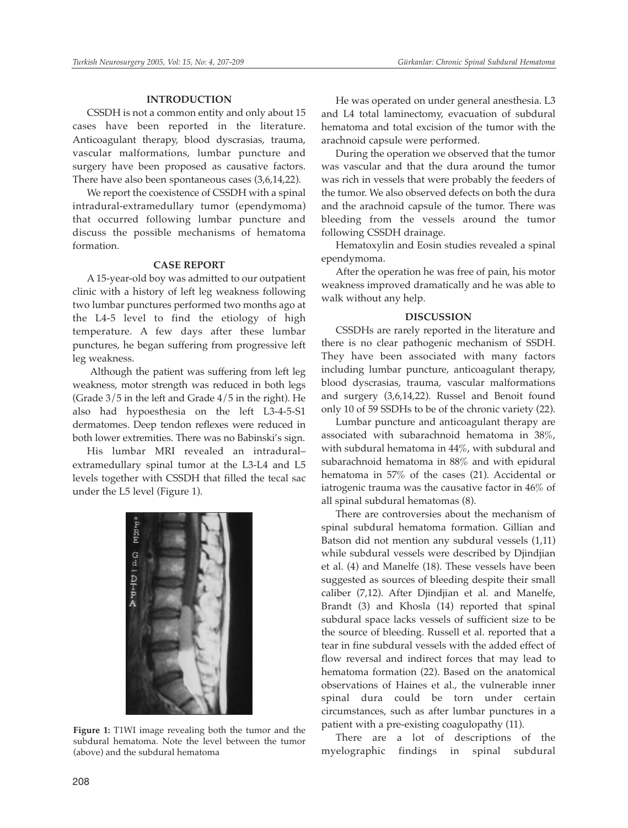#### **INTRODUCTION**

CSSDH is not a common entity and only about 15 cases have been reported in the literature. Anticoagulant therapy, blood dyscrasias, trauma, vascular malformations, lumbar puncture and surgery have been proposed as causative factors. There have also been spontaneous cases (3,6,14,22).

We report the coexistence of CSSDH with a spinal intradural-extramedullary tumor (ependymoma) that occurred following lumbar puncture and discuss the possible mechanisms of hematoma formation.

#### **CASE REPORT**

A 15-year-old boy was admitted to our outpatient clinic with a history of left leg weakness following two lumbar punctures performed two months ago at the L4-5 level to find the etiology of high temperature. A few days after these lumbar punctures, he began suffering from progressive left leg weakness.

Although the patient was suffering from left leg weakness, motor strength was reduced in both legs (Grade 3/5 in the left and Grade 4/5 in the right). He also had hypoesthesia on the left L3-4-5-S1 dermatomes. Deep tendon reflexes were reduced in both lower extremities. There was no Babinski's sign.

His lumbar MRI revealed an intradural– extramedullary spinal tumor at the L3-L4 and L5 levels together with CSSDH that filled the tecal sac under the L5 level (Figure 1).



**Figure 1:** T1WI image revealing both the tumor and the subdural hematoma. Note the level between the tumor (above) and the subdural hematoma

He was operated on under general anesthesia. L3 and L4 total laminectomy, evacuation of subdural hematoma and total excision of the tumor with the arachnoid capsule were performed.

During the operation we observed that the tumor was vascular and that the dura around the tumor was rich in vessels that were probably the feeders of the tumor. We also observed defects on both the dura and the arachnoid capsule of the tumor. There was bleeding from the vessels around the tumor following CSSDH drainage.

Hematoxylin and Eosin studies revealed a spinal ependymoma.

After the operation he was free of pain, his motor weakness improved dramatically and he was able to walk without any help.

#### **DISCUSSION**

CSSDHs are rarely reported in the literature and there is no clear pathogenic mechanism of SSDH. They have been associated with many factors including lumbar puncture, anticoagulant therapy, blood dyscrasias, trauma, vascular malformations and surgery (3,6,14,22). Russel and Benoit found only 10 of 59 SSDHs to be of the chronic variety (22).

Lumbar puncture and anticoagulant therapy are associated with subarachnoid hematoma in 38%, with subdural hematoma in 44%, with subdural and subarachnoid hematoma in 88% and with epidural hematoma in 57% of the cases (21). Accidental or iatrogenic trauma was the causative factor in 46% of all spinal subdural hematomas (8).

There are controversies about the mechanism of spinal subdural hematoma formation. Gillian and Batson did not mention any subdural vessels (1,11) while subdural vessels were described by Djindjian et al. (4) and Manelfe (18). These vessels have been suggested as sources of bleeding despite their small caliber (7,12). After Djindjian et al. and Manelfe, Brandt (3) and Khosla (14) reported that spinal subdural space lacks vessels of sufficient size to be the source of bleeding. Russell et al. reported that a tear in fine subdural vessels with the added effect of flow reversal and indirect forces that may lead to hematoma formation (22). Based on the anatomical observations of Haines et al., the vulnerable inner spinal dura could be torn under certain circumstances, such as after lumbar punctures in a patient with a pre-existing coagulopathy (11).

There are a lot of descriptions of the myelographic findings in spinal subdural